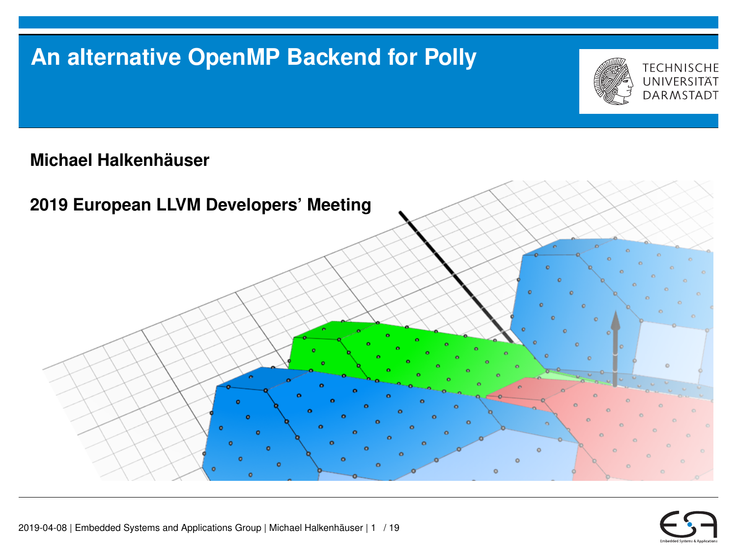## **An alternative OpenMP Backend for Polly**



**Michael Halkenhäuser**



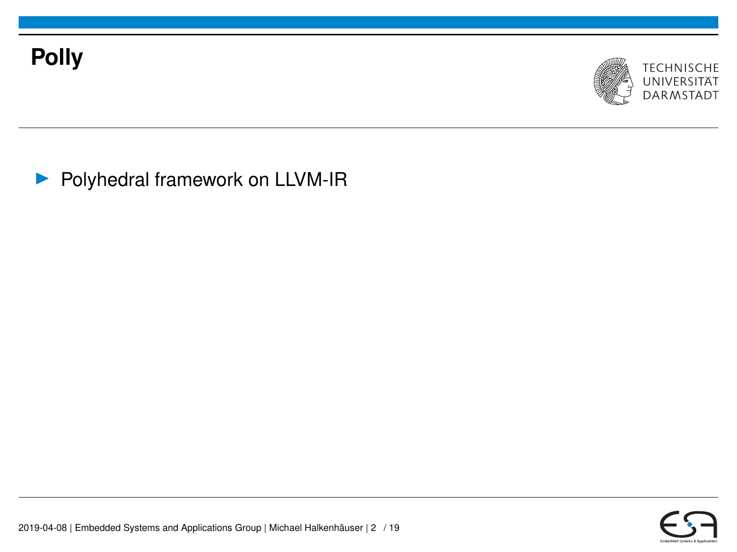



**• Polyhedral framework on LLVM-IR** 

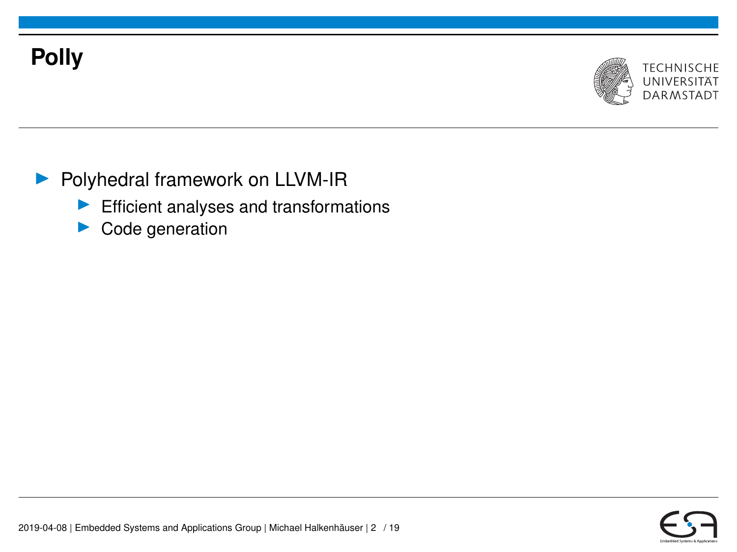# **Polly**



### **• Polyhedral framework on LLVM-IR**

- $\blacktriangleright$  Efficient analyses and transformations
- $\triangleright$  Code generation

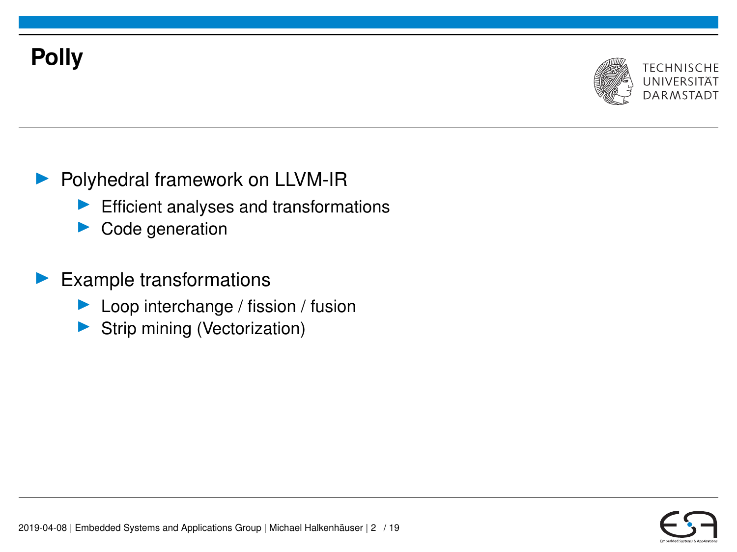# **Polly**



### **D** Polyhedral framework on LLVM-IR

- Efficient analyses and transformations
- $\blacktriangleright$  Code generation

### $\blacktriangleright$  Example transformations

- Loop interchange / fission / fusion
- Strip mining (Vectorization)

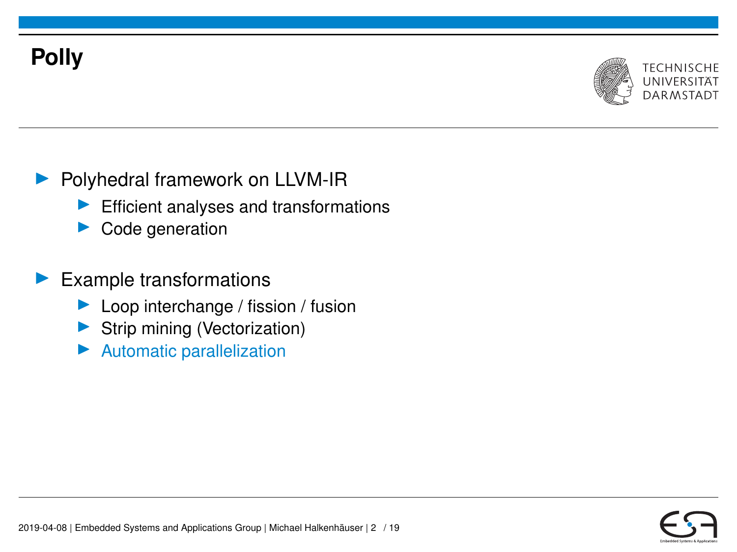# **Polly**



### **Polyhedral framework on LLVM-IR**

- Efficient analyses and transformations
- $\blacktriangleright$  Code generation

#### $\blacktriangleright$  Example transformations

- Loop interchange / fission / fusion
- Strip mining (Vectorization)
- Automatic parallelization

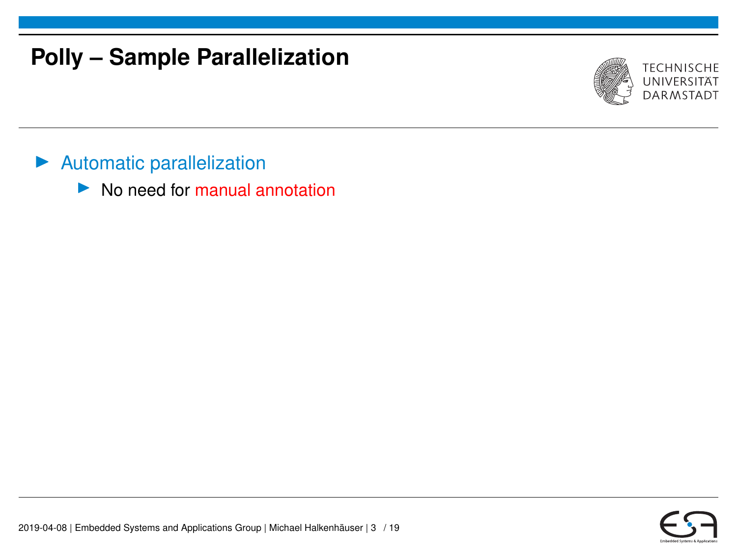## **Polly – Sample Parallelization**



- $\blacktriangleright$  Automatic parallelization
	- $\blacktriangleright$  No need for manual annotation

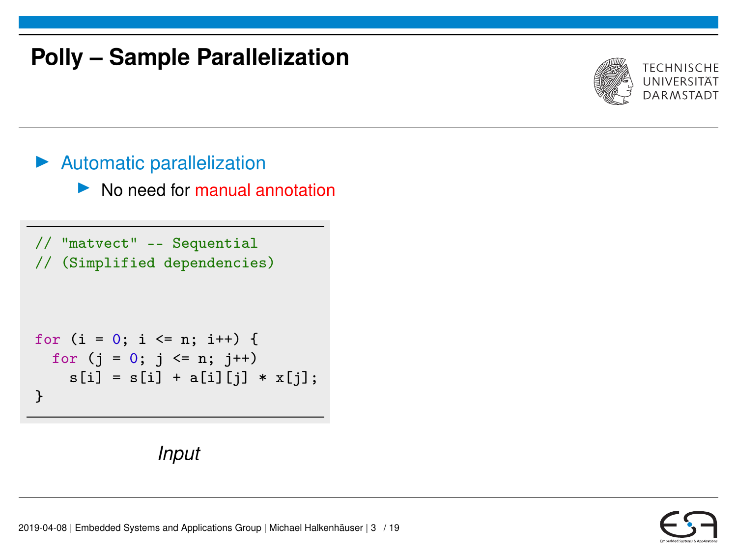## **Polly – Sample Parallelization**



#### $\blacktriangleright$  Automatic parallelization

 $\triangleright$  No need for manual annotation

```
// "matvect" -- Sequential
// (Simplified dependencies)
```

```
for (i = 0; i \le n; i++) {
  for (j = 0; j \le n; j++)s[i] = s[i] + a[i][j] * x[j];}
```


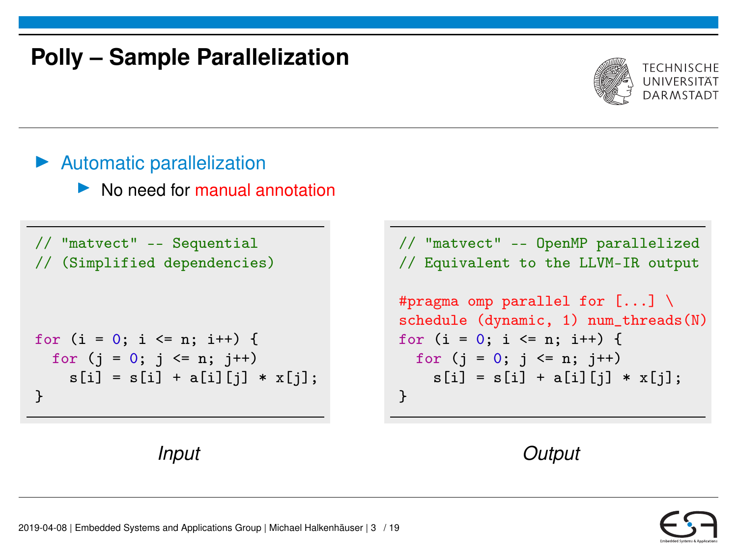## **Polly – Sample Parallelization**



#### $\blacktriangleright$  Automatic parallelization

 $\blacktriangleright$  No need for manual annotation

// "matvect" -- Sequential // (Simplified dependencies)

$$
\begin{array}{l} \text{for } (i = 0; i \leq n; i++) \{ \\ \text{for } (j = 0; j \leq n; j++) \\ \text{s[i] = s[i] + a[i][j] * x[j];} \\ \} \end{array}
$$



// "matvect" -- OpenMP parallelized // Equivalent to the LLVM-IR output #pragma omp parallel for  $[...] \setminus$ schedule (dynamic, 1) num\_threads(N) for  $(i = 0; i \le n; i++)$  { for  $(j = 0; j \le n; j++)$  $s[i] = s[i] + a[i][j] * x[j];$ }



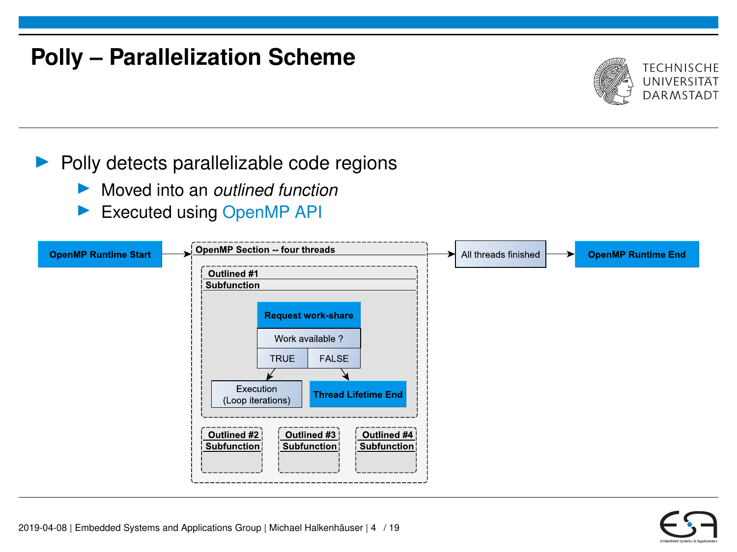## **Polly – Parallelization Scheme**



#### $\blacktriangleright$  Polly detects parallelizable code regions

- ▶ Moved into an *outlined function*
- Executed using OpenMP API

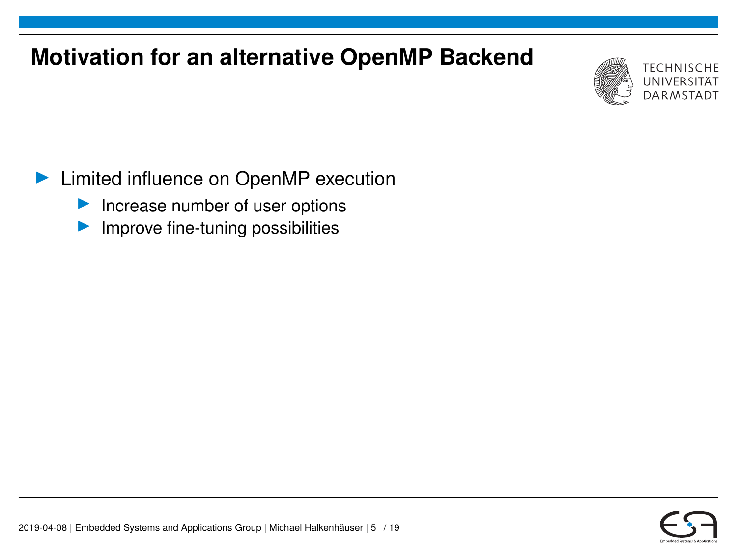# **Motivation for an alternative OpenMP Backend**



### **In Limited influence on OpenMP execution**

- $\blacktriangleright$  Increase number of user options
- Improve fine-tuning possibilities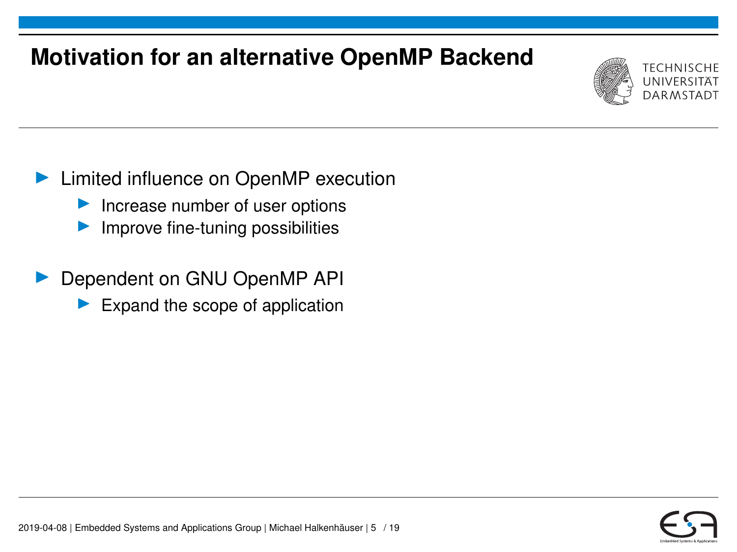# **Motivation for an alternative OpenMP Backend**



### ▶ Limited influence on OpenMP execution

- $\blacktriangleright$  Increase number of user options
- Improve fine-tuning possibilities
- Dependent on GNU OpenMP API
	- Expand the scope of application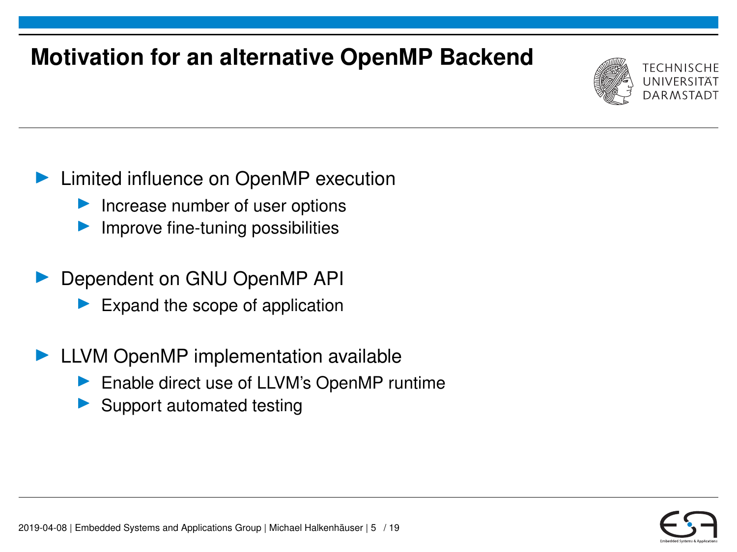# **Motivation for an alternative OpenMP Backend**



### ▶ Limited influence on OpenMP execution

- Increase number of user options
- Improve fine-tuning possibilities
- Dependent on GNU OpenMP API
	- Expand the scope of application
- $\blacktriangleright$  LLVM OpenMP implementation available
	- Enable direct use of LLVM's OpenMP runtime
	- Support automated testing

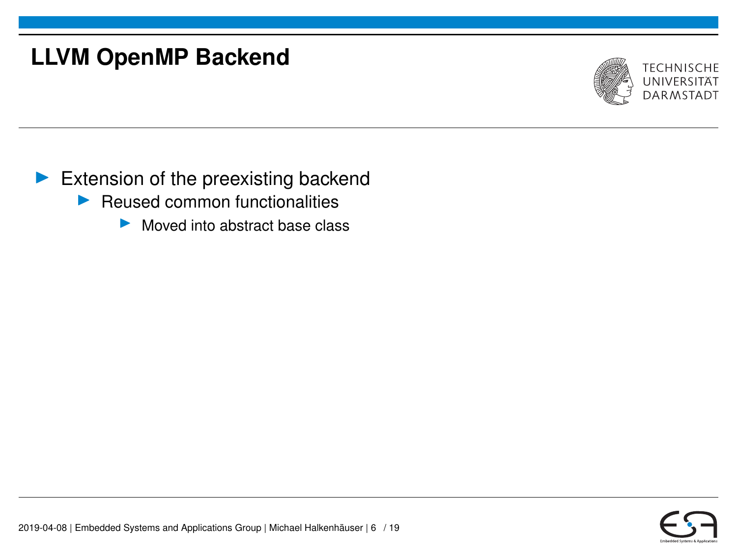

- $\blacktriangleright$  Reused common functionalities
	- $\triangleright$  Moved into abstract base class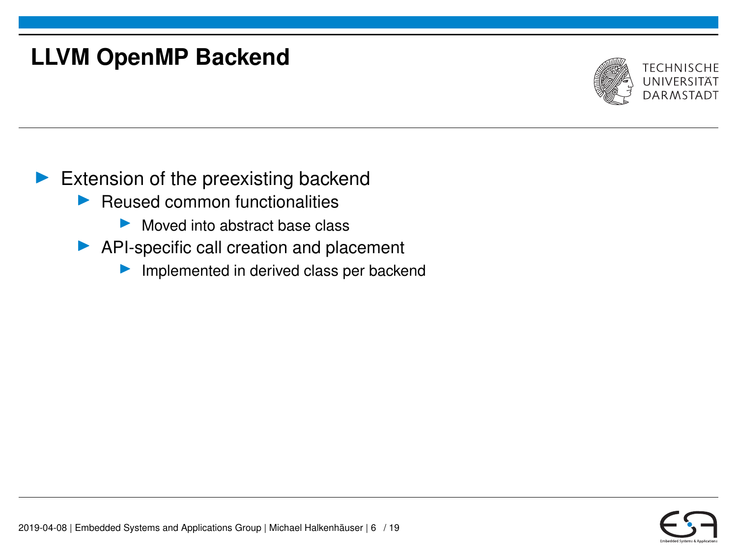

- $\blacktriangleright$  Reused common functionalities
	- $\triangleright$  Moved into abstract base class
- $\blacktriangleright$  API-specific call creation and placement
	- $\blacktriangleright$  Implemented in derived class per backend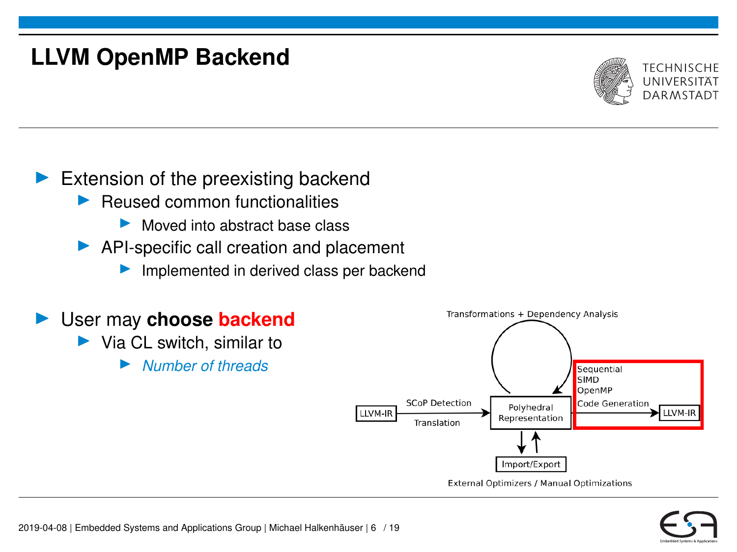

- $\blacktriangleright$  Reused common functionalities
	- $\blacktriangleright$  Moved into abstract base class
- $\blacktriangleright$  API-specific call creation and placement
	- $\blacktriangleright$  Implemented in derived class per backend



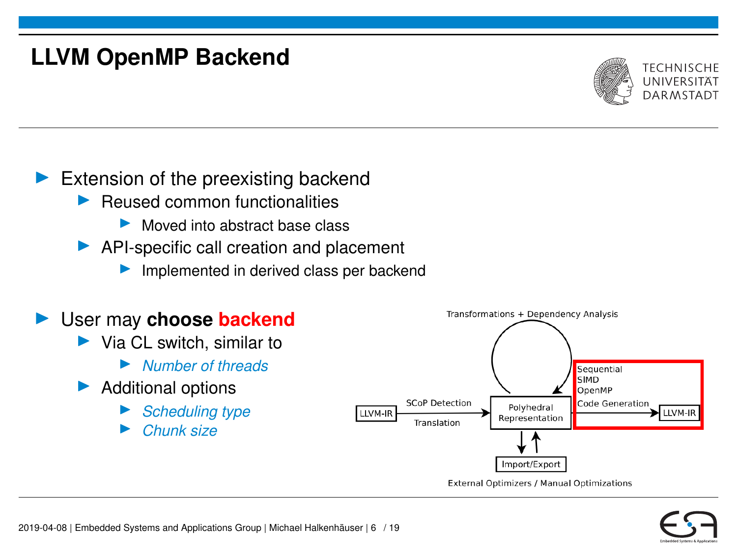

- $\blacktriangleright$  Reused common functionalities
	- Moved into abstract base class
- $\blacktriangleright$  API-specific call creation and placement
	- $\blacktriangleright$  Implemented in derived class per backend

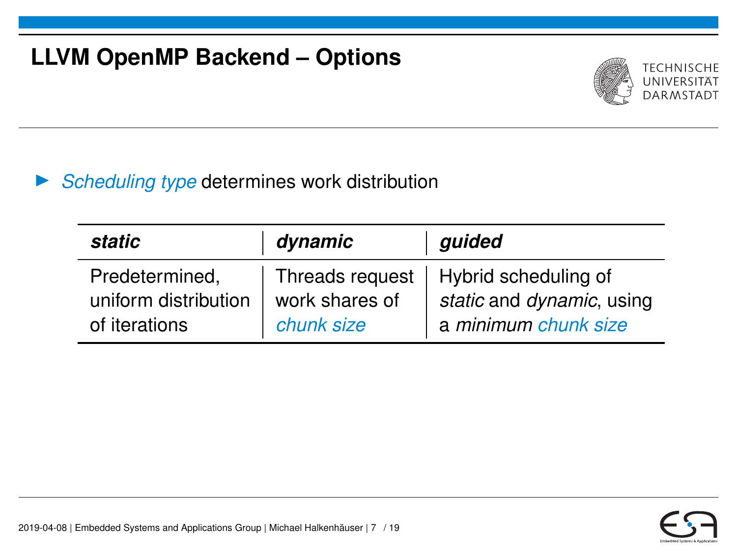# **LLVM OpenMP Backend – Options**



#### **Scheduling type determines work distribution**

| static                                                  | dynamic                      | guided                                                                                      |
|---------------------------------------------------------|------------------------------|---------------------------------------------------------------------------------------------|
| Predetermined,<br>uniform distribution<br>of iterations | work shares of<br>chunk size | Threads request   Hybrid scheduling of<br>static and dynamic, using<br>a minimum chunk size |

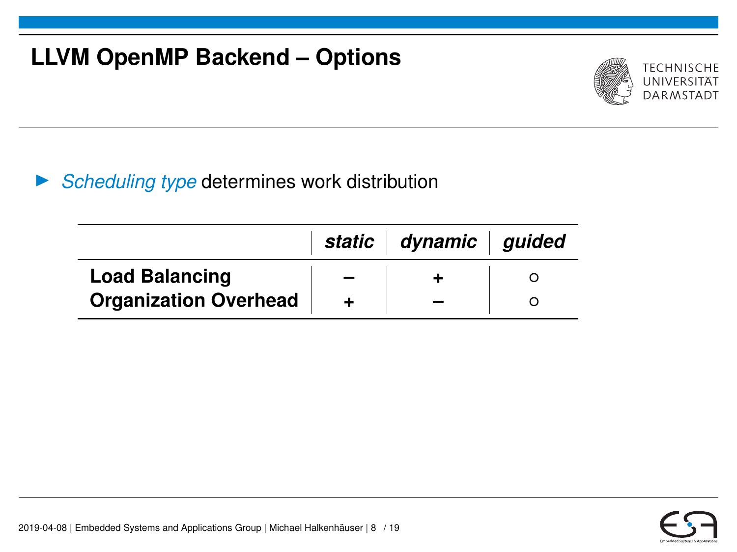# **LLVM OpenMP Backend – Options**



### **Scheduling type determines work distribution**

|                              | static   dynamic   guided |  |
|------------------------------|---------------------------|--|
| <b>Load Balancing</b>        |                           |  |
| <b>Organization Overhead</b> |                           |  |

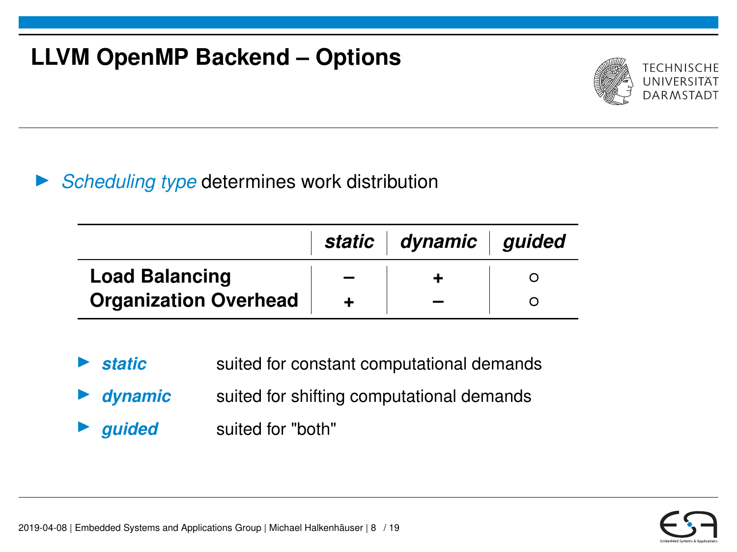# **LLVM OpenMP Backend – Options**



### **Scheduling type determines work distribution**

|                              | static   dynamic   guided |  |
|------------------------------|---------------------------|--|
| <b>Load Balancing</b>        |                           |  |
| <b>Organization Overhead</b> |                           |  |

- **static** suited for constant computational demands
- **dynamic** suited for shifting computational demands
	- guided suited for "both"

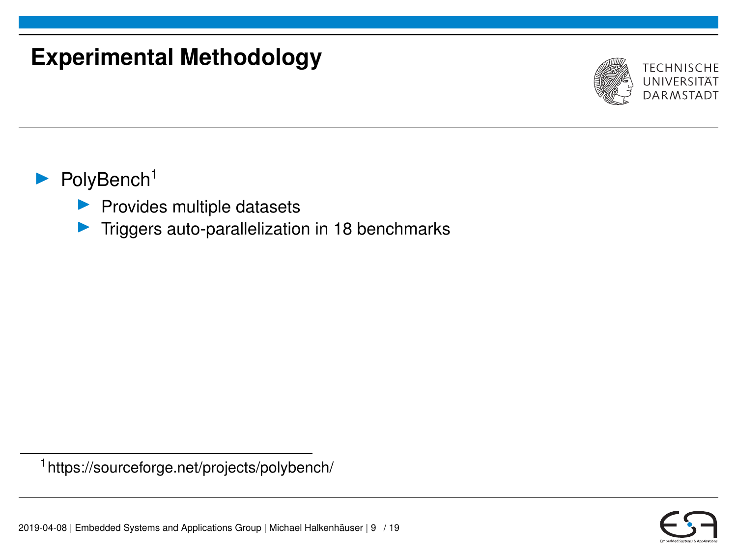## **Experimental Methodology**



### PolyBench<sup>1</sup>

- $\blacktriangleright$  Provides multiple datasets
- $\triangleright$  Triggers auto-parallelization in 18 benchmarks

<sup>1</sup>https://sourceforge.net/projects/polybench/

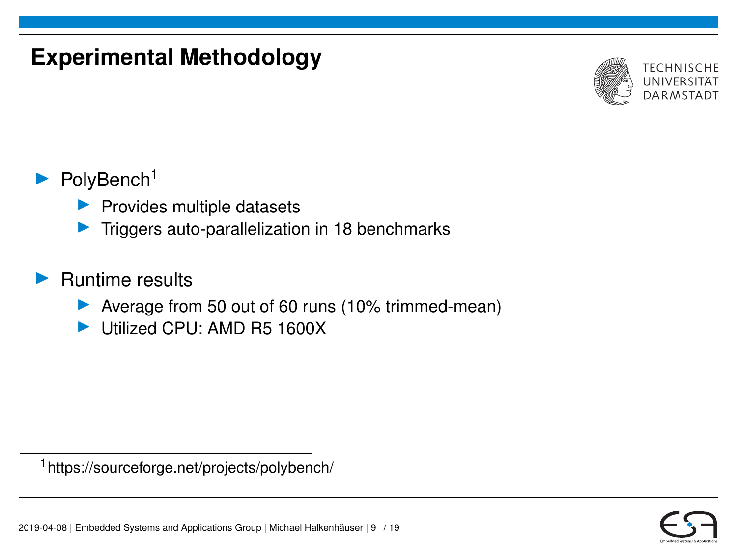## **Experimental Methodology**



### $\blacktriangleright$  PolyBench<sup>1</sup>

- $\blacktriangleright$  Provides multiple datasets
- Triggers auto-parallelization in 18 benchmarks

#### I Runtime results

- ▶ Average from 50 out of 60 runs (10% trimmed-mean)
- I Utilized CPU: AMD R5 1600X

<sup>1</sup>https://sourceforge.net/projects/polybench/

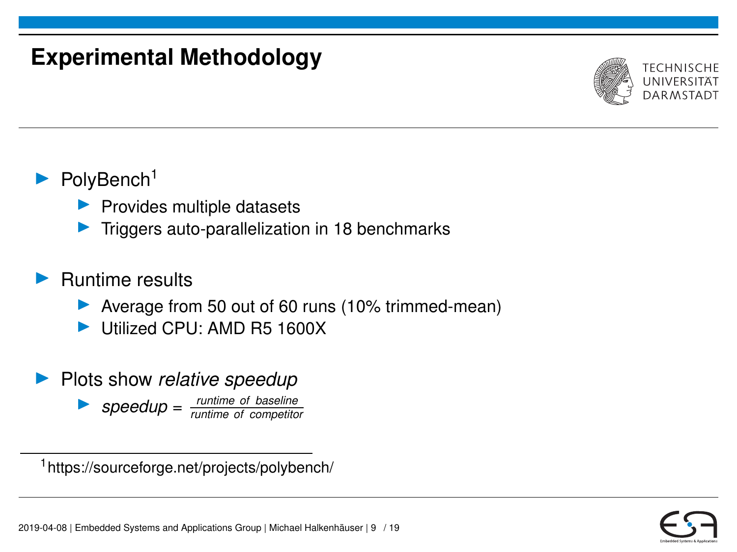## **Experimental Methodology**



### $\blacktriangleright$  PolyBench<sup>1</sup>

- $\blacktriangleright$  Provides multiple datasets
- Triggers auto-parallelization in 18 benchmarks

#### **Runtime results**

- ▶ Average from 50 out of 60 runs (10% trimmed-mean)
- I Utilized CPU: AMD R5 1600X
- **Plots show relative speedup**

I *speedup* <sup>=</sup> *runtime of baseline runtime of competitor*

<sup>1</sup>https://sourceforge.net/projects/polybench/

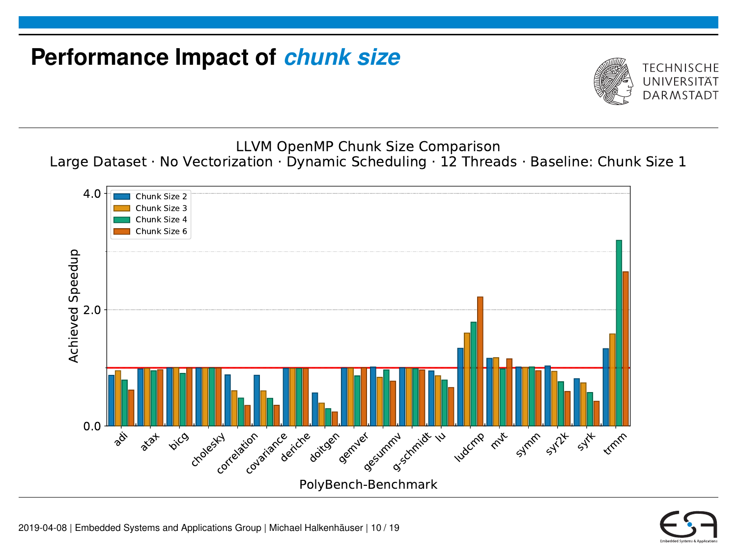# **Performance Impact of** *chunk size*



LLVM OpenMP Chunk Size Comparison Large Dataset · No Vectorization · Dynamic Scheduling · 12 Threads · Baseline: Chunk Size 1



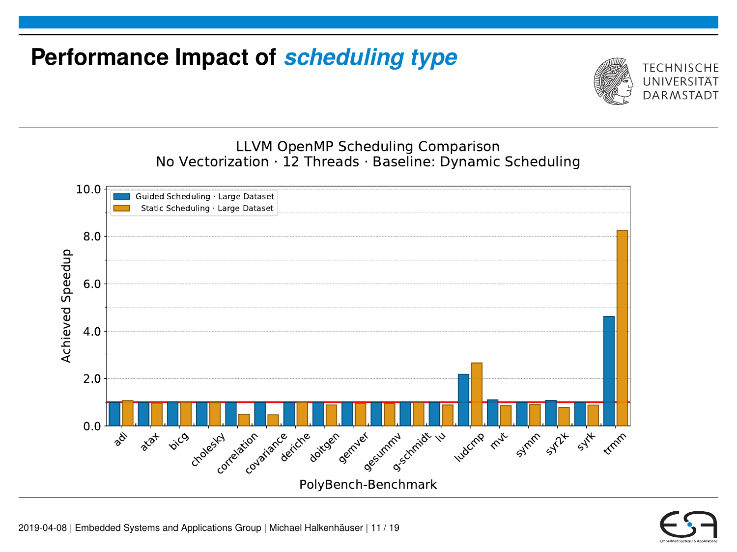# **Performance Impact of** *scheduling type*



LLVM OpenMP Scheduling Comparison No Vectorization · 12 Threads · Baseline: Dynamic Scheduling



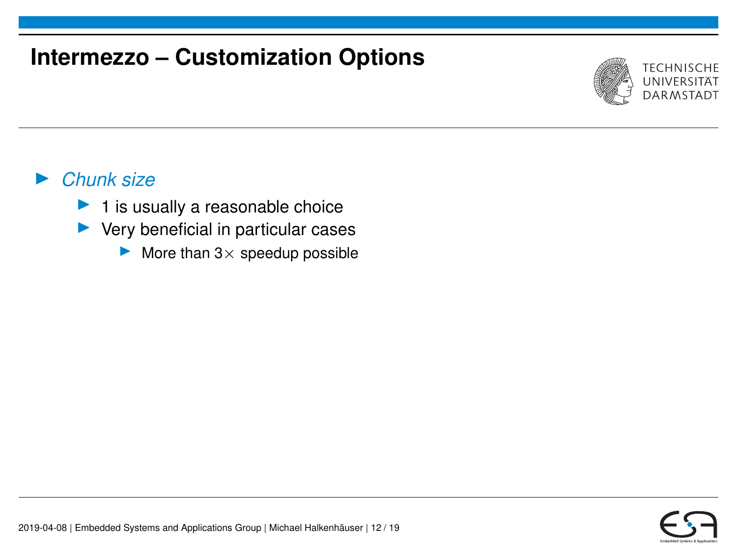# **Intermezzo – Customization Options**



#### I *Chunk size*

- $\blacktriangleright$  1 is usually a reasonable choice
- $\blacktriangleright$  Very beneficial in particular cases
	- $\blacktriangleright$  More than 3 x speedup possible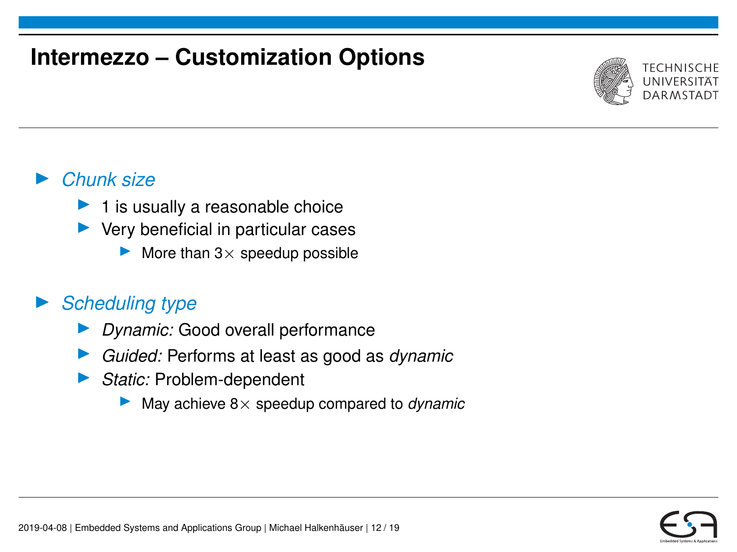# **Intermezzo – Customization Options**



#### I *Chunk size*

- 1 is usually a reasonable choice
- $\blacktriangleright$  Very beneficial in particular cases
	- More than  $3\times$  speedup possible

### **Scheduling type**

- I *Dynamic:* Good overall performance
- I *Guided:* Performs at least as good as *dynamic*
- ▶ *Static:* Problem-dependent
	- $\blacktriangleright$  May achieve  $8 \times$  speedup compared to *dynamic*

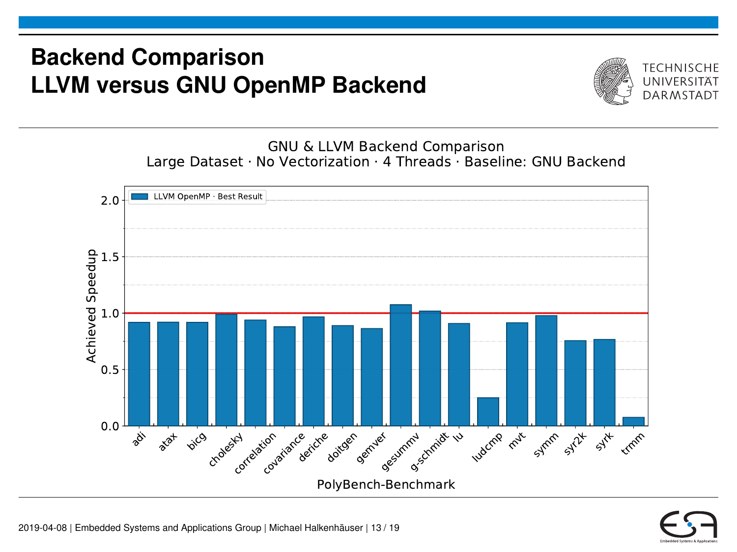## **Backend Comparison LLVM versus GNU OpenMP Backend**



GNU & LLVM Backend Comparison Large Dataset · No Vectorization · 4 Threads · Baseline: GNU Backend



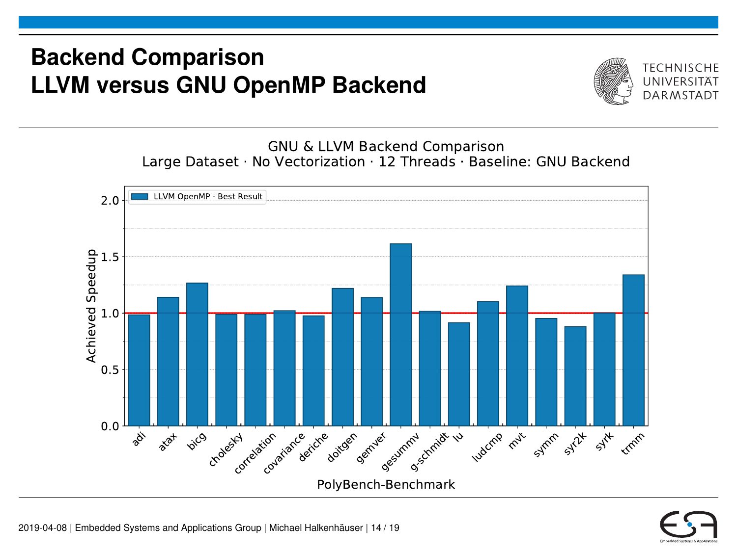## **Backend Comparison LLVM versus GNU OpenMP Backend**



GNU & LLVM Backend Comparison Large Dataset · No Vectorization · 12 Threads · Baseline: GNU Backend



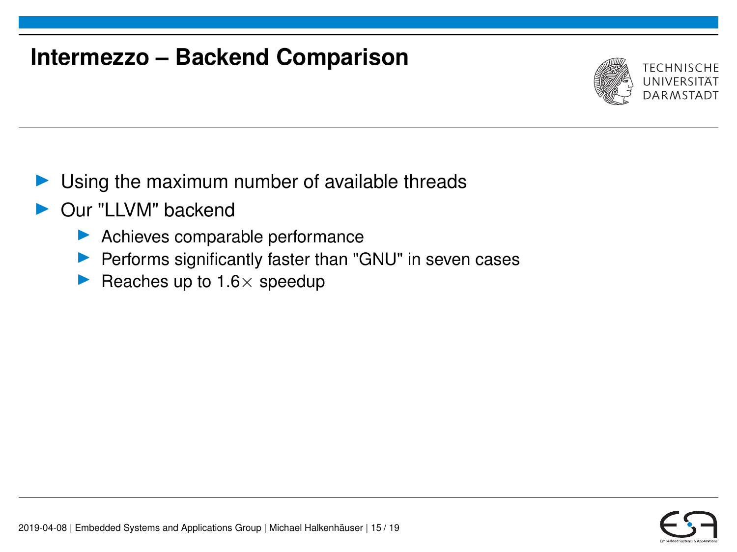## **Intermezzo – Backend Comparison**



- Using the maximum number of available threads
- Our "LLVM" backend
	- Achieves comparable performance
	- $\blacktriangleright$  Performs significantly faster than "GNU" in seven cases
	- Reaches up to  $1.6\times$  speedup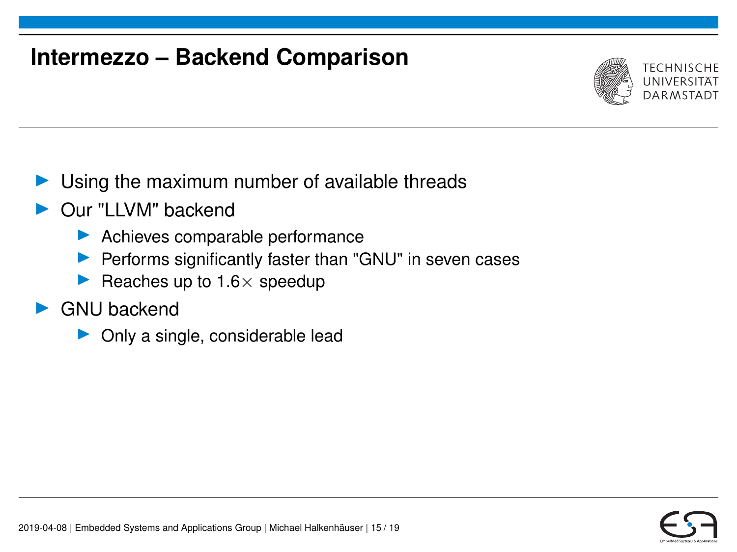## **Intermezzo – Backend Comparison**



- Using the maximum number of available threads
- Our "LLVM" backend
	- $\blacktriangleright$  Achieves comparable performance
	- $\blacktriangleright$  Performs significantly faster than "GNU" in seven cases
	- Reaches up to  $1.6 \times$  speedup
- $\blacktriangleright$  GNU backend
	- $\triangleright$  Only a single, considerable lead

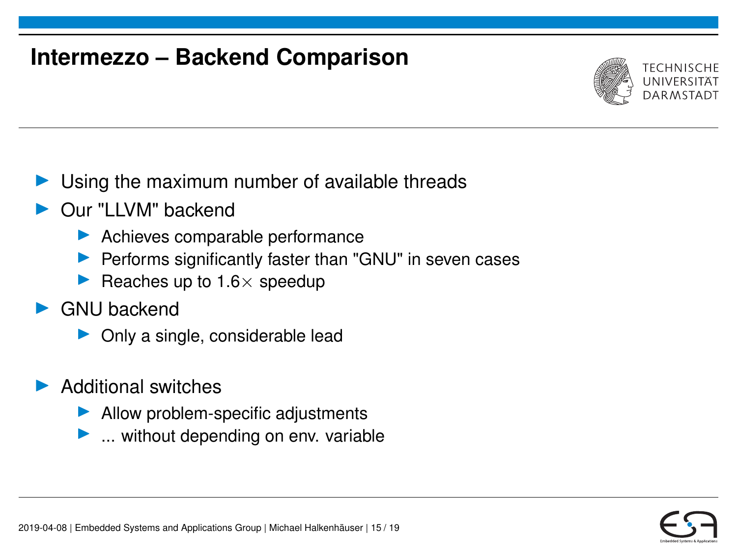## **Intermezzo – Backend Comparison**



- Using the maximum number of available threads
- Our "LLVM" backend
	- $\blacktriangleright$  Achieves comparable performance
	- $\blacktriangleright$  Performs significantly faster than "GNU" in seven cases
	- Reaches up to  $1.6 \times$  speedup
- $\blacktriangleright$  GNU backend
	- $\triangleright$  Only a single, considerable lead
- Additional switches
	- $\blacktriangleright$  Allow problem-specific adjustments
	- $\blacktriangleright$  ... without depending on env. variable

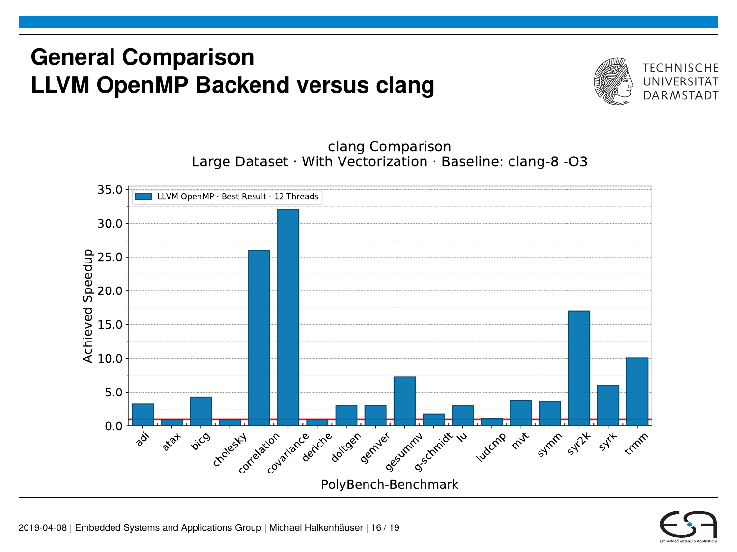## **General Comparison LLVM OpenMP Backend versus clang**



clang Comparison Large Dataset · With Vectorization · Baseline: clang-8 -O3



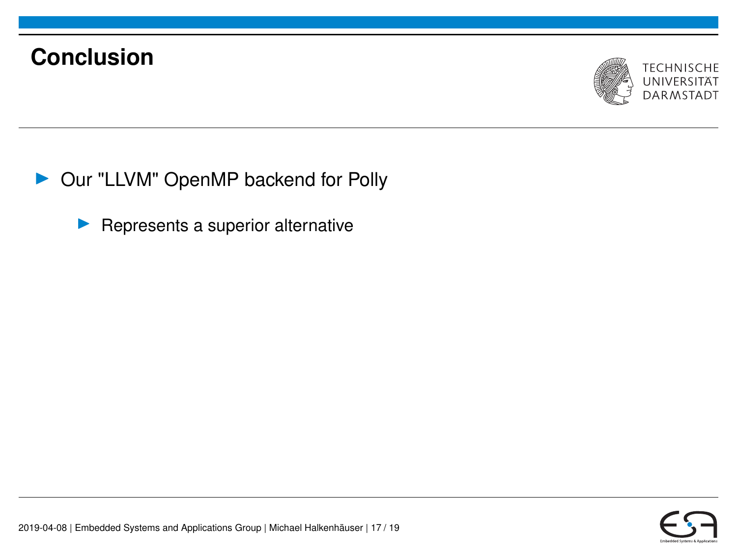

▶ Our "LLVM" OpenMP backend for Polly

 $\blacktriangleright$  Represents a superior alternative

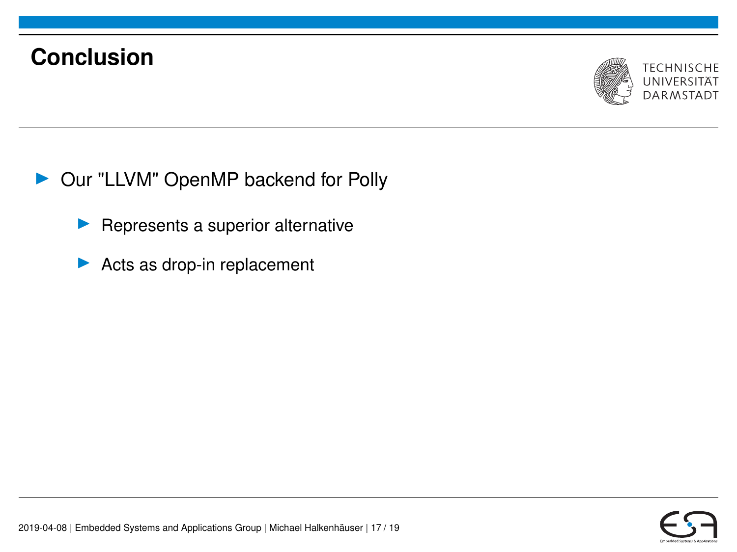

- ▶ Our "LLVM" OpenMP backend for Polly
	- Represents a superior alternative
	- $\blacktriangleright$  Acts as drop-in replacement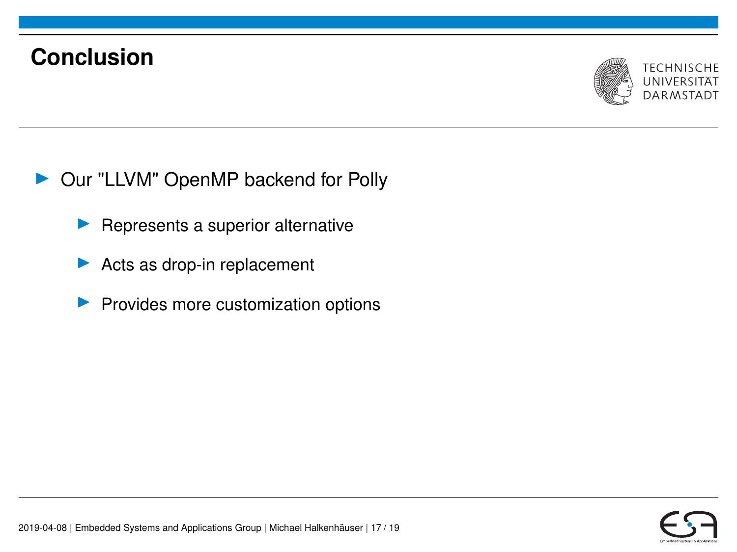

- ▶ Our "LLVM" OpenMP backend for Polly
	- Represents a superior alternative
	- Acts as drop-in replacement
	- Provides more customization options

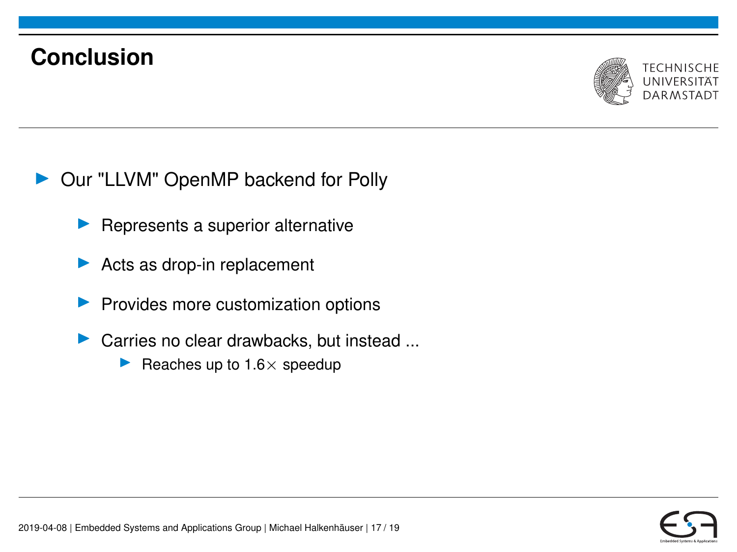

- ▶ Our "LLVM" OpenMP backend for Polly
	- Represents a superior alternative
	- Acts as drop-in replacement
	- Provides more customization options
	- Carries no clear drawbacks, but instead ...
		- Reaches up to  $1.6 \times$  speedup

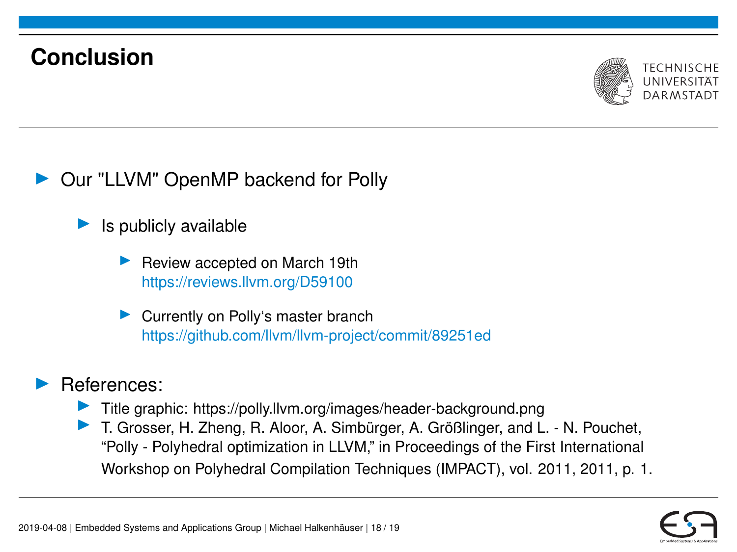

Our "LLVM" OpenMP backend for Polly

- Is publicly available
	- Review accepted on March 19th https://reviews.llvm.org/D59100
	- $\triangleright$  Currently on Polly's master branch https://github.com/llvm/llvm-project/commit/89251ed

#### I References:

- $\blacktriangleright$  Title graphic: https://polly.llym.org/images/header-background.png
- ▶ T. Grosser, H. Zheng, R. Aloor, A. Simbürger, A. Größlinger, and L. N. Pouchet, "Polly - Polyhedral optimization in LLVM," in Proceedings of the First International Workshop on Polyhedral Compilation Techniques (IMPACT), vol. 2011, 2011, p. 1.